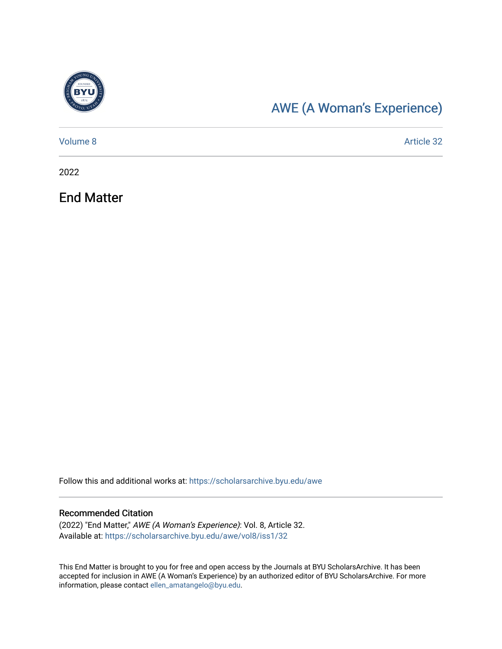

# [AWE \(A Woman's Experience\)](https://scholarsarchive.byu.edu/awe)

| Volume 8 | Article 32 |
|----------|------------|
|          |            |

2022

End Matter

Follow this and additional works at: [https://scholarsarchive.byu.edu/awe](https://scholarsarchive.byu.edu/awe?utm_source=scholarsarchive.byu.edu%2Fawe%2Fvol8%2Fiss1%2F32&utm_medium=PDF&utm_campaign=PDFCoverPages)

#### Recommended Citation

(2022) "End Matter," AWE (A Woman's Experience): Vol. 8, Article 32. Available at: [https://scholarsarchive.byu.edu/awe/vol8/iss1/32](https://scholarsarchive.byu.edu/awe/vol8/iss1/32?utm_source=scholarsarchive.byu.edu%2Fawe%2Fvol8%2Fiss1%2F32&utm_medium=PDF&utm_campaign=PDFCoverPages) 

This End Matter is brought to you for free and open access by the Journals at BYU ScholarsArchive. It has been accepted for inclusion in AWE (A Woman's Experience) by an authorized editor of BYU ScholarsArchive. For more information, please contact [ellen\\_amatangelo@byu.edu.](mailto:ellen_amatangelo@byu.edu)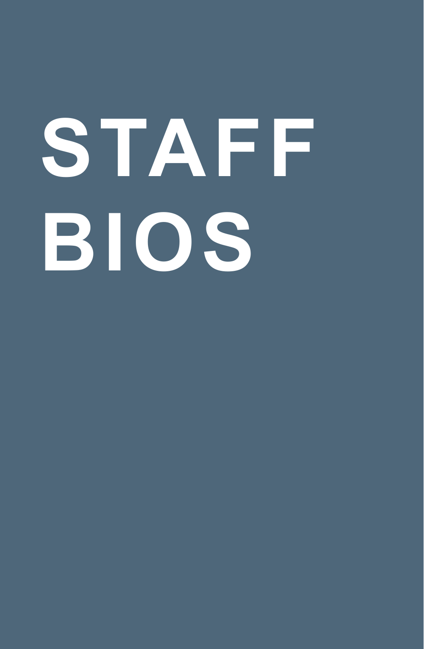# **STAFF BIOS**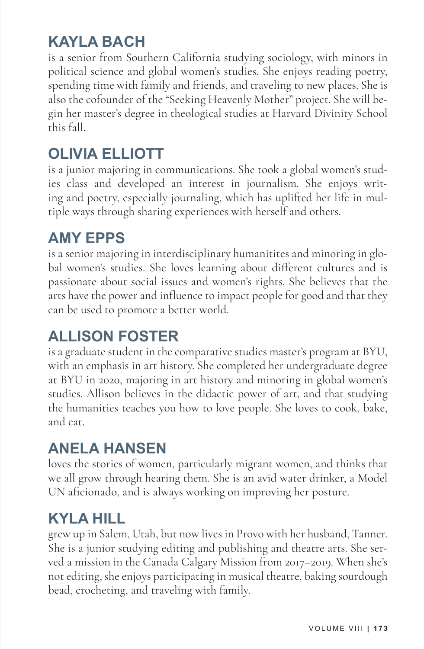# **KAYLA BACH**

is a senior from Southern California studying sociology, with minors in political science and global women's studies. She enjoys reading poetry, spending time with family and friends, and traveling to new places. She is also the cofounder of the "Seeking Heavenly Mother" project. She will begin her master's degree in theological studies at Harvard Divinity School this fall.

# **OLIVIA ELLIOTT**

is a junior majoring in communications. She took a global women's studies class and developed an interest in journalism. She enjoys writing and poetry, especially journaling, which has uplifted her life in multiple ways through sharing experiences with herself and others.

#### **AMY EPPS**

is a senior majoring in interdisciplinary humanitites and minoring in global women's studies. She loves learning about different cultures and is passionate about social issues and women's rights. She believes that the arts have the power and influence to impact people for good and that they can be used to promote a better world.

## **ALLISON FOSTER**

is a graduate student in the comparative studies master's program at BYU, with an emphasis in art history. She completed her undergraduate degree at BYU in 2020, majoring in art history and minoring in global women's studies. Allison believes in the didactic power of art, and that studying the humanities teaches you how to love people. She loves to cook, bake, and eat.

# **ANELA HANSEN**

loves the stories of women, particularly migrant women, and thinks that we all grow through hearing them. She is an avid water drinker, a Model UN aficionado, and is always working on improving her posture.

# **KYLA HILL**

grew up in Salem, Utah, but now lives in Provo with her husband, Tanner. She is a junior studying editing and publishing and theatre arts. She served a mission in the Canada Calgary Mission from 2017–2019. When she's not editing, she enjoys participating in musical theatre, baking sourdough bead, crocheting, and traveling with family.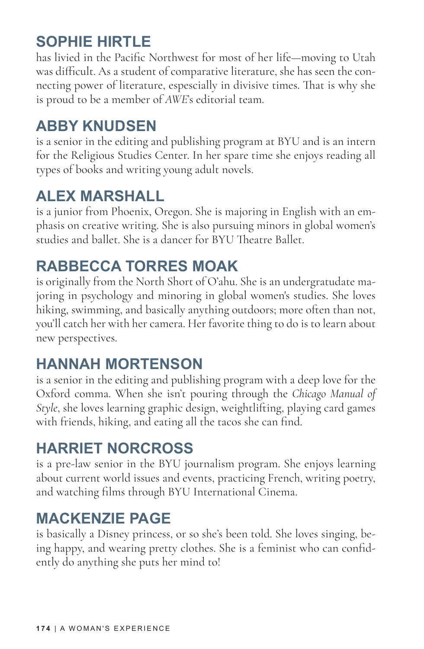# **SOPHIE HIRTLE**

has livied in the Pacific Northwest for most of her life—moving to Utah was difficult. As a student of comparative literature, she has seen the connecting power of literature, espescially in divisive times. That is why she is proud to be a member of *AWE*'s editorial team.

### **ABBY KNUDSEN**

is a senior in the editing and publishing program at BYU and is an intern for the Religious Studies Center. In her spare time she enjoys reading all types of books and writing young adult novels.

# **ALEX MARSHALL**

is a junior from Phoenix, Oregon. She is majoring in English with an emphasis on creative writing. She is also pursuing minors in global women's studies and ballet. She is a dancer for BYU Theatre Ballet.

# **RABBECCA TORRES MOAK**

is originally from the North Short of O'ahu. She is an undergratudate majoring in psychology and minoring in global women's studies. She loves hiking, swimming, and basically anything outdoors; more often than not, you'll catch her with her camera. Her favorite thing to do is to learn about new perspectives.

## **HANNAH MORTENSON**

is a senior in the editing and publishing program with a deep love for the Oxford comma. When she isn't pouring through the *Chicago Manual of Style*, she loves learning graphic design, weightlifting, playing card games with friends, hiking, and eating all the tacos she can find.

# **HARRIET NORCROSS**

is a pre-law senior in the BYU journalism program. She enjoys learning about current world issues and events, practicing French, writing poetry, and watching films through BYU International Cinema.

## **MACKENZIE PAGE**

is basically a Disney princess, or so she's been told. She loves singing, being happy, and wearing pretty clothes. She is a feminist who can confidently do anything she puts her mind to!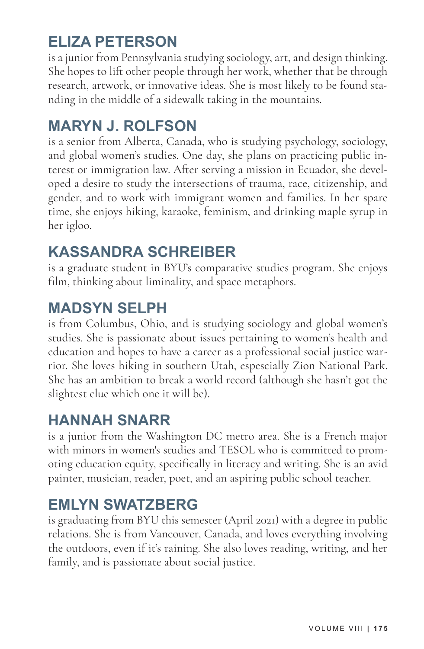# **ELIZA PETERSON**

is a junior from Pennsylvania studying sociology, art, and design thinking. She hopes to lift other people through her work, whether that be through research, artwork, or innovative ideas. She is most likely to be found standing in the middle of a sidewalk taking in the mountains.

## **MARYN J. ROLFSON**

is a senior from Alberta, Canada, who is studying psychology, sociology, and global women's studies. One day, she plans on practicing public interest or immigration law. After serving a mission in Ecuador, she developed a desire to study the intersections of trauma, race, citizenship, and gender, and to work with immigrant women and families. In her spare time, she enjoys hiking, karaoke, feminism, and drinking maple syrup in her igloo.

#### **KASSANDRA SCHREIBER**

is a graduate student in BYU's comparative studies program. She enjoys film, thinking about liminality, and space metaphors.

#### **MADSYN SELPH**

is from Columbus, Ohio, and is studying sociology and global women's studies. She is passionate about issues pertaining to women's health and education and hopes to have a career as a professional social justice warrior. She loves hiking in southern Utah, espescially Zion National Park. She has an ambition to break a world record (although she hasn't got the slightest clue which one it will be).

## **HANNAH SNARR**

is a junior from the Washington DC metro area. She is a French major with minors in women's studies and TESOL who is committed to promoting education equity, specifically in literacy and writing. She is an avid painter, musician, reader, poet, and an aspiring public school teacher.

#### **EMLYN SWATZBERG**

is graduating from BYU this semester (April 2021) with a degree in public relations. She is from Vancouver, Canada, and loves everything involving the outdoors, even if it's raining. She also loves reading, writing, and her family, and is passionate about social justice.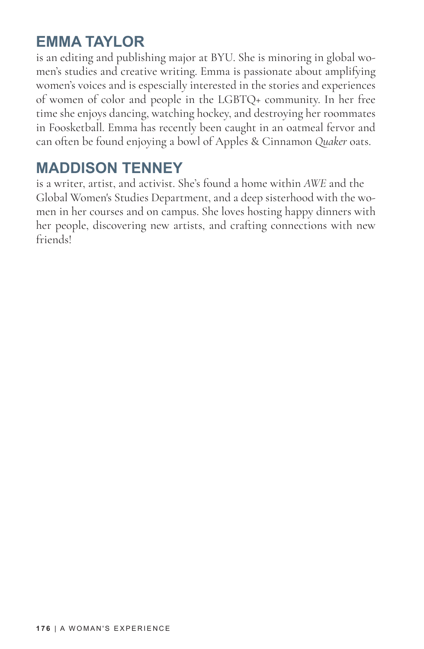#### **EMMA TAYLOR**

is an editing and publishing major at BYU. She is minoring in global women's studies and creative writing. Emma is passionate about amplifying women's voices and is espescially interested in the stories and experiences of women of color and people in the LGBTQ+ community. In her free time she enjoys dancing, watching hockey, and destroying her roommates in Foosketball. Emma has recently been caught in an oatmeal fervor and can often be found enjoying a bowl of Apples & Cinnamon *Quaker* oats.

#### **MADDISON TENNEY**

is a writer, artist, and activist. She's found a home within *AWE* and the Global Women's Studies Department, and a deep sisterhood with the women in her courses and on campus. She loves hosting happy dinners with her people, discovering new artists, and crafting connections with new friends!